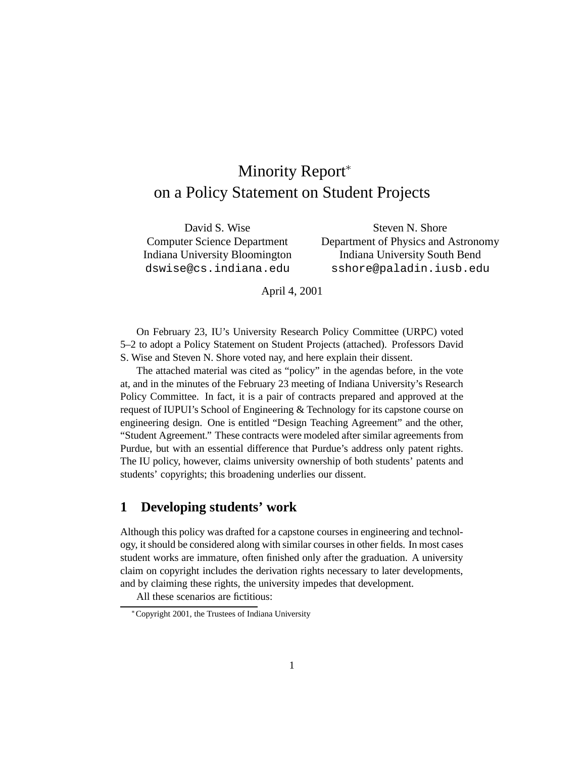## Minority Report\* on a Policy Statement on Student Projects

David S. Wise Steven N. Shore Computer Science Department Department of Physics and Astronomy Indiana University Bloomington Indiana University South Bend dswise@cs.indiana.edu sshore@paladin.iusb.edu

April 4, 2001

On February 23, IU's University Research Policy Committee (URPC) voted 5–2 to adopt a Policy Statement on Student Projects (attached). Professors David S. Wise and Steven N. Shore voted nay, and here explain their dissent.

The attached material was cited as "policy" in the agendas before, in the vote at, and in the minutes of the February 23 meeting of Indiana University's Research Policy Committee. In fact, it is a pair of contracts prepared and approved at the request of IUPUI's School of Engineering & Technology for its capstone course on engineering design. One is entitled "Design Teaching Agreement" and the other, "Student Agreement." These contracts were modeled after similar agreements from Purdue, but with an essential difference that Purdue's address only patent rights. The IU policy, however, claims university ownership of both students' patents and students' copyrights; this broadening underlies our dissent.

#### **1 Developing students' work**

Although this policy was drafted for a capstone courses in engineering and technology, it should be considered along with similar courses in other fields. In most cases student works are immature, often finished only after the graduation. A university claim on copyright includes the derivation rights necessary to later developments, and by claiming these rights, the university impedes that development.

All these scenarios are fictitious:

Copyright 2001, the Trustees of Indiana University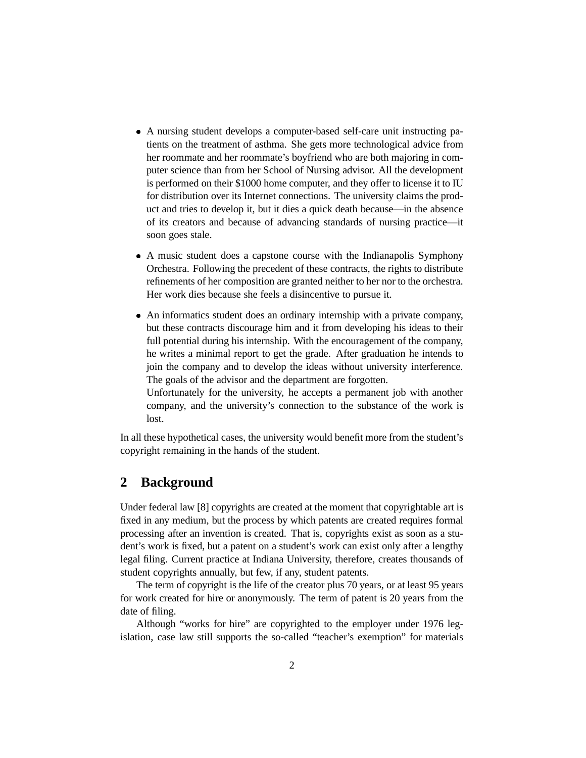- A nursing student develops a computer-based self-care unit instructing patients on the treatment of asthma. She gets more technological advice from her roommate and her roommate's boyfriend who are both majoring in computer science than from her School of Nursing advisor. All the development is performed on their \$1000 home computer, and they offer to license it to IU for distribution over its Internet connections. The university claims the product and tries to develop it, but it dies a quick death because—in the absence of its creators and because of advancing standards of nursing practice—it soon goes stale.
- A music student does a capstone course with the Indianapolis Symphony Orchestra. Following the precedent of these contracts, the rights to distribute refinements of her composition are granted neither to her nor to the orchestra. Her work dies because she feels a disincentive to pursue it.
- An informatics student does an ordinary internship with a private company, but these contracts discourage him and it from developing his ideas to their full potential during his internship. With the encouragement of the company, he writes a minimal report to get the grade. After graduation he intends to join the company and to develop the ideas without university interference. The goals of the advisor and the department are forgotten. Unfortunately for the university, he accepts a permanent job with another

company, and the university's connection to the substance of the work is lost.

In all these hypothetical cases, the university would benefit more from the student's copyright remaining in the hands of the student.

#### **2 Background**

Under federal law [8] copyrights are created at the moment that copyrightable art is fixed in any medium, but the process by which patents are created requires formal processing after an invention is created. That is, copyrights exist as soon as a student's work is fixed, but a patent on a student's work can exist only after a lengthy legal filing. Current practice at Indiana University, therefore, creates thousands of student copyrights annually, but few, if any, student patents.

The term of copyright is the life of the creator plus 70 years, or at least 95 years for work created for hire or anonymously. The term of patent is 20 years from the date of filing.

Although "works for hire" are copyrighted to the employer under 1976 legislation, case law still supports the so-called "teacher's exemption" for materials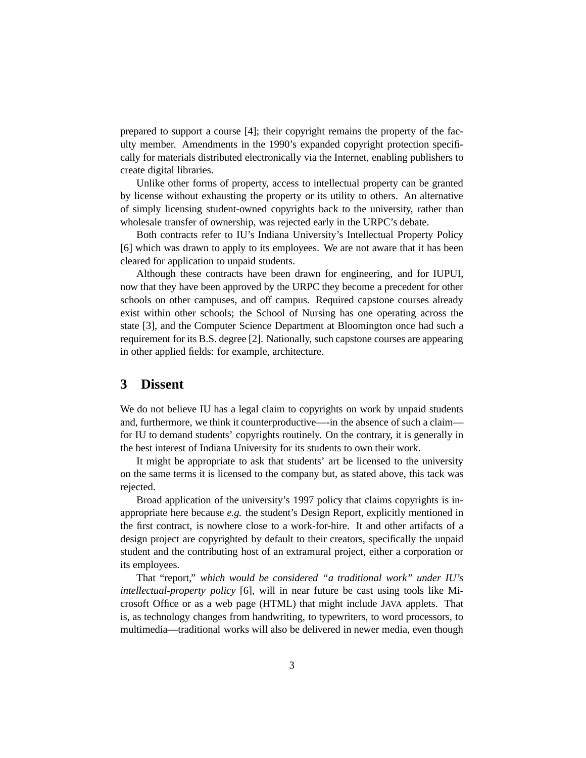prepared to support a course [4]; their copyright remains the property of the faculty member. Amendments in the 1990's expanded copyright protection specifically for materials distributed electronically via the Internet, enabling publishers to create digital libraries.

Unlike other forms of property, access to intellectual property can be granted by license without exhausting the property or its utility to others. An alternative of simply licensing student-owned copyrights back to the university, rather than wholesale transfer of ownership, was rejected early in the URPC's debate.

Both contracts refer to IU's Indiana University's Intellectual Property Policy [6] which was drawn to apply to its employees. We are not aware that it has been cleared for application to unpaid students.

Although these contracts have been drawn for engineering, and for IUPUI, now that they have been approved by the URPC they become a precedent for other schools on other campuses, and off campus. Required capstone courses already exist within other schools; the School of Nursing has one operating across the state [3], and the Computer Science Department at Bloomington once had such a requirement for its B.S. degree [2]. Nationally, such capstone courses are appearing in other applied fields: for example, architecture.

#### **3 Dissent**

We do not believe IU has a legal claim to copyrights on work by unpaid students and, furthermore, we think it counterproductive—-in the absence of such a claim for IU to demand students' copyrights routinely. On the contrary, it is generally in the best interest of Indiana University for its students to own their work.

It might be appropriate to ask that students' art be licensed to the university on the same terms it is licensed to the company but, as stated above, this tack was rejected.

Broad application of the university's 1997 policy that claims copyrights is inappropriate here because *e.g.* the student's Design Report, explicitly mentioned in the first contract, is nowhere close to a work-for-hire. It and other artifacts of a design project are copyrighted by default to their creators, specifically the unpaid student and the contributing host of an extramural project, either a corporation or its employees.

That "report," *which would be considered "a traditional work" under IU's intellectual-property policy* [6], will in near future be cast using tools like Microsoft Office or as a web page (HTML) that might include JAVA applets. That is, as technology changes from handwriting, to typewriters, to word processors, to multimedia—traditional works will also be delivered in newer media, even though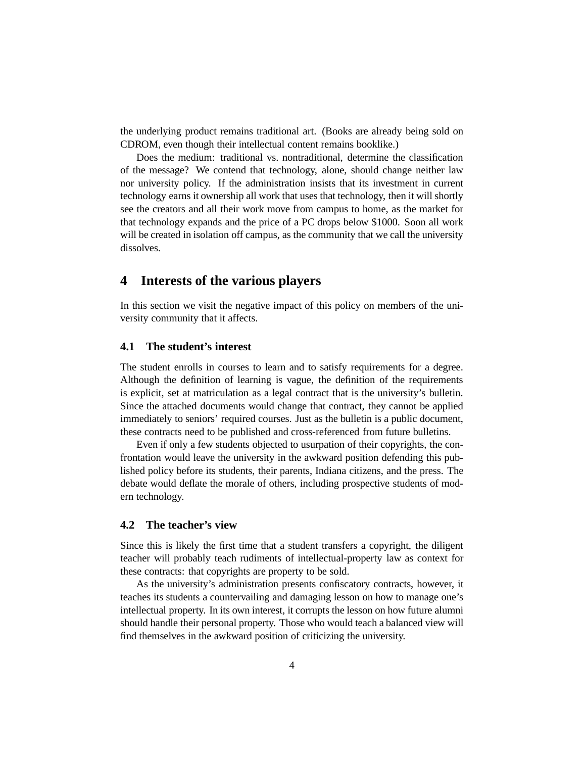the underlying product remains traditional art. (Books are already being sold on CDROM, even though their intellectual content remains booklike.)

Does the medium: traditional vs. nontraditional, determine the classification of the message? We contend that technology, alone, should change neither law nor university policy. If the administration insists that its investment in current technology earns it ownership all work that uses that technology, then it will shortly see the creators and all their work move from campus to home, as the market for that technology expands and the price of a PC drops below \$1000. Soon all work will be created in isolation off campus, as the community that we call the university dissolves.

#### **4 Interests of the various players**

In this section we visit the negative impact of this policy on members of the university community that it affects.

#### **4.1 The student's interest**

The student enrolls in courses to learn and to satisfy requirements for a degree. Although the definition of learning is vague, the definition of the requirements is explicit, set at matriculation as a legal contract that is the university's bulletin. Since the attached documents would change that contract, they cannot be applied immediately to seniors' required courses. Just as the bulletin is a public document, these contracts need to be published and cross-referenced from future bulletins.

Even if only a few students objected to usurpation of their copyrights, the confrontation would leave the university in the awkward position defending this published policy before its students, their parents, Indiana citizens, and the press. The debate would deflate the morale of others, including prospective students of modern technology.

#### **4.2 The teacher's view**

Since this is likely the first time that a student transfers a copyright, the diligent teacher will probably teach rudiments of intellectual-property law as context for these contracts: that copyrights are property to be sold.

As the university's administration presents confiscatory contracts, however, it teaches its students a countervailing and damaging lesson on how to manage one's intellectual property. In its own interest, it corrupts the lesson on how future alumni should handle their personal property. Those who would teach a balanced view will find themselves in the awkward position of criticizing the university.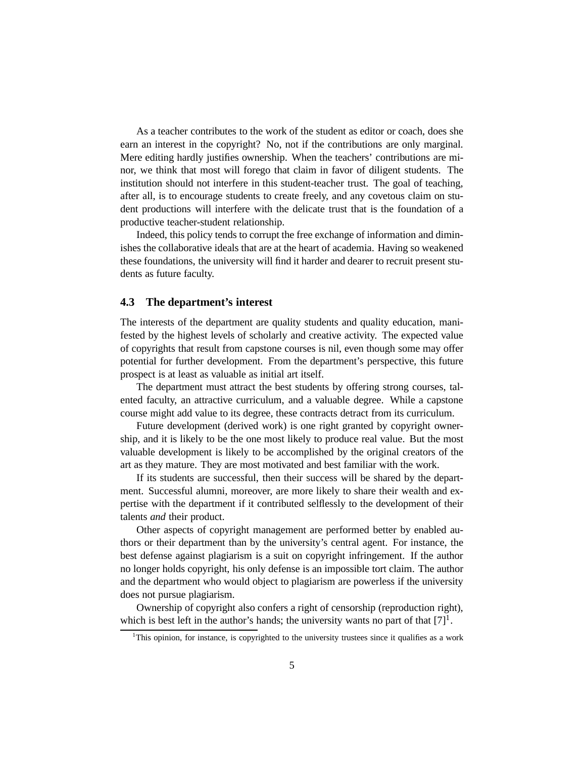As a teacher contributes to the work of the student as editor or coach, does she earn an interest in the copyright? No, not if the contributions are only marginal. Mere editing hardly justifies ownership. When the teachers' contributions are minor, we think that most will forego that claim in favor of diligent students. The institution should not interfere in this student-teacher trust. The goal of teaching, after all, is to encourage students to create freely, and any covetous claim on student productions will interfere with the delicate trust that is the foundation of a productive teacher-student relationship.

Indeed, this policy tends to corrupt the free exchange of information and diminishes the collaborative ideals that are at the heart of academia. Having so weakened these foundations, the university will find it harder and dearer to recruit present students as future faculty.

#### **4.3 The department's interest**

The interests of the department are quality students and quality education, manifested by the highest levels of scholarly and creative activity. The expected value of copyrights that result from capstone courses is nil, even though some may offer potential for further development. From the department's perspective, this future prospect is at least as valuable as initial art itself.

The department must attract the best students by offering strong courses, talented faculty, an attractive curriculum, and a valuable degree. While a capstone course might add value to its degree, these contracts detract from its curriculum.

Future development (derived work) is one right granted by copyright ownership, and it is likely to be the one most likely to produce real value. But the most valuable development is likely to be accomplished by the original creators of the art as they mature. They are most motivated and best familiar with the work.

If its students are successful, then their success will be shared by the department. Successful alumni, moreover, are more likely to share their wealth and expertise with the department if it contributed selflessly to the development of their talents *and* their product.

Other aspects of copyright management are performed better by enabled authors or their department than by the university's central agent. For instance, the best defense against plagiarism is a suit on copyright infringement. If the author no longer holds copyright, his only defense is an impossible tort claim. The author and the department who would object to plagiarism are powerless if the university does not pursue plagiarism.

Ownership of copyright also confers a right of censorship (reproduction right), which is best left in the author's hands; the university wants no part of that  $[7]$ <sup>1</sup>.

<sup>&</sup>lt;sup>1</sup>This opinion, for instance, is copyrighted to the university trustees since it qualifies as a work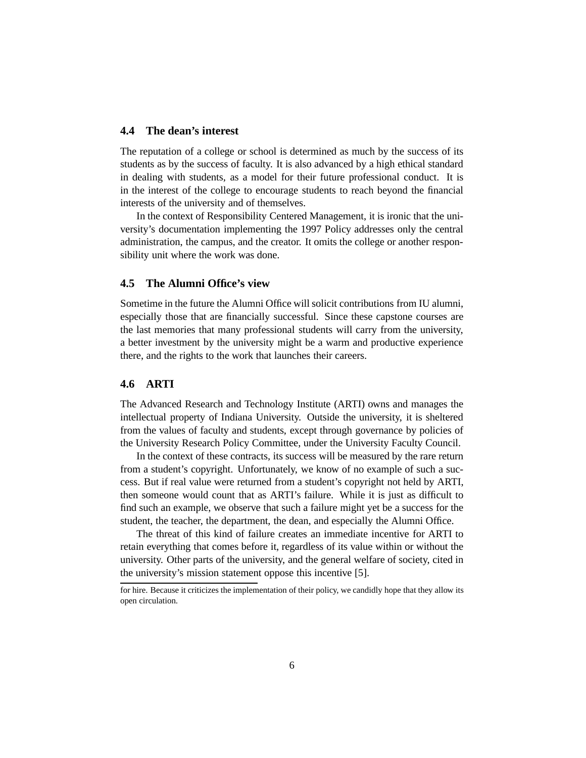#### **4.4 The dean's interest**

The reputation of a college or school is determined as much by the success of its students as by the success of faculty. It is also advanced by a high ethical standard in dealing with students, as a model for their future professional conduct. It is in the interest of the college to encourage students to reach beyond the financial interests of the university and of themselves.

In the context of Responsibility Centered Management, it is ironic that the university's documentation implementing the 1997 Policy addresses only the central administration, the campus, and the creator. It omits the college or another responsibility unit where the work was done.

#### **4.5 The Alumni Office's view**

Sometime in the future the Alumni Office will solicit contributions from IU alumni, especially those that are financially successful. Since these capstone courses are the last memories that many professional students will carry from the university, a better investment by the university might be a warm and productive experience there, and the rights to the work that launches their careers.

#### **4.6 ARTI**

The Advanced Research and Technology Institute (ARTI) owns and manages the intellectual property of Indiana University. Outside the university, it is sheltered from the values of faculty and students, except through governance by policies of the University Research Policy Committee, under the University Faculty Council.

In the context of these contracts, its success will be measured by the rare return from a student's copyright. Unfortunately, we know of no example of such a success. But if real value were returned from a student's copyright not held by ARTI, then someone would count that as ARTI's failure. While it is just as difficult to find such an example, we observe that such a failure might yet be a success for the student, the teacher, the department, the dean, and especially the Alumni Office.

The threat of this kind of failure creates an immediate incentive for ARTI to retain everything that comes before it, regardless of its value within or without the university. Other parts of the university, and the general welfare of society, cited in the university's mission statement oppose this incentive [5].

for hire. Because it criticizes the implementation of their policy, we candidly hope that they allow its open circulation.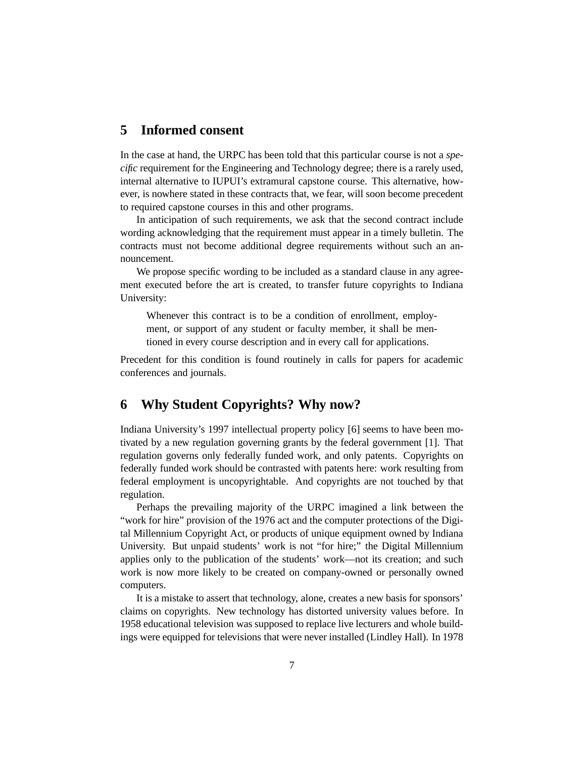### **5 Informed consent**

In the case at hand, the URPC has been told that this particular course is not a *specific* requirement for the Engineering and Technology degree; there is a rarely used, internal alternative to IUPUI's extramural capstone course. This alternative, however, is nowhere stated in these contracts that, we fear, will soon become precedent to required capstone courses in this and other programs.

In anticipation of such requirements, we ask that the second contract include wording acknowledging that the requirement must appear in a timely bulletin. The contracts must not become additional degree requirements without such an announcement.

We propose specific wording to be included as a standard clause in any agreement executed before the art is created, to transfer future copyrights to Indiana University:

Whenever this contract is to be a condition of enrollment, employment, or support of any student or faculty member, it shall be mentioned in every course description and in every call for applications.

Precedent for this condition is found routinely in calls for papers for academic conferences and journals.

#### **6 Why Student Copyrights? Why now?**

Indiana University's 1997 intellectual property policy [6] seems to have been motivated by a new regulation governing grants by the federal government [1]. That regulation governs only federally funded work, and only patents. Copyrights on federally funded work should be contrasted with patents here: work resulting from federal employment is uncopyrightable. And copyrights are not touched by that regulation.

Perhaps the prevailing majority of the URPC imagined a link between the "work for hire" provision of the 1976 act and the computer protections of the Digital Millennium Copyright Act, or products of unique equipment owned by Indiana University. But unpaid students' work is not "for hire;" the Digital Millennium applies only to the publication of the students' work—not its creation; and such work is now more likely to be created on company-owned or personally owned computers.

It is a mistake to assert that technology, alone, creates a new basis for sponsors' claims on copyrights. New technology has distorted university values before. In 1958 educational television was supposed to replace live lecturers and whole buildings were equipped for televisions that were never installed (Lindley Hall). In 1978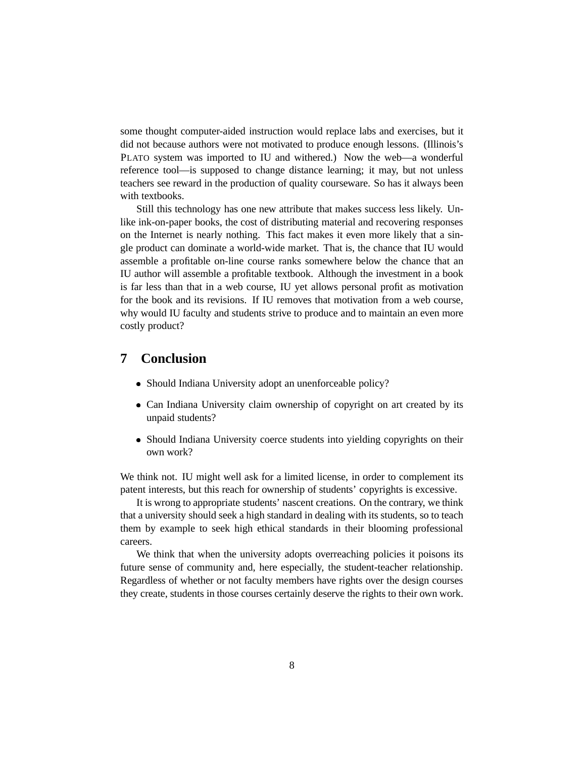some thought computer-aided instruction would replace labs and exercises, but it did not because authors were not motivated to produce enough lessons. (Illinois's PLATO system was imported to IU and withered.) Now the web—a wonderful reference tool—is supposed to change distance learning; it may, but not unless teachers see reward in the production of quality courseware. So has it always been with textbooks.

Still this technology has one new attribute that makes success less likely. Unlike ink-on-paper books, the cost of distributing material and recovering responses on the Internet is nearly nothing. This fact makes it even more likely that a single product can dominate a world-wide market. That is, the chance that IU would assemble a profitable on-line course ranks somewhere below the chance that an IU author will assemble a profitable textbook. Although the investment in a book is far less than that in a web course, IU yet allows personal profit as motivation for the book and its revisions. If IU removes that motivation from a web course, why would IU faculty and students strive to produce and to maintain an even more costly product?

#### **7 Conclusion**

- Should Indiana University adopt an unenforceable policy?
- Can Indiana University claim ownership of copyright on art created by its unpaid students?
- Should Indiana University coerce students into yielding copyrights on their own work?

We think not. IU might well ask for a limited license, in order to complement its patent interests, but this reach for ownership of students' copyrights is excessive.

It is wrong to appropriate students' nascent creations. On the contrary, we think that a university should seek a high standard in dealing with its students, so to teach them by example to seek high ethical standards in their blooming professional careers.

We think that when the university adopts overreaching policies it poisons its future sense of community and, here especially, the student-teacher relationship. Regardless of whether or not faculty members have rights over the design courses they create, students in those courses certainly deserve the rights to their own work.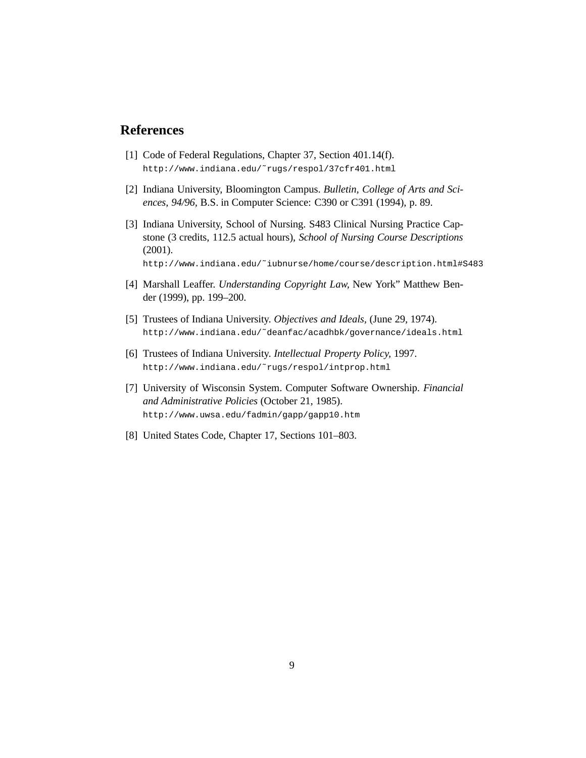#### **References**

- [1] Code of Federal Regulations, Chapter 37, Section 401.14(f). http://www.indiana.edu/˜rugs/respol/37cfr401.html
- [2] Indiana University, Bloomington Campus. *Bulletin, College of Arts and Sciences, 94/96,* B.S. in Computer Science: C390 or C391 (1994), p. 89.
- [3] Indiana University, School of Nursing. S483 Clinical Nursing Practice Capstone (3 credits, 112.5 actual hours), *School of Nursing Course Descriptions* (2001).
	- http://www.indiana.edu/˜iubnurse/home/course/description.html#S483
- [4] Marshall Leaffer. *Understanding Copyright Law,* New York" Matthew Bender (1999), pp. 199–200.
- [5] Trustees of Indiana University. *Objectives and Ideals,* (June 29, 1974). http://www.indiana.edu/˜deanfac/acadhbk/governance/ideals.html
- [6] Trustees of Indiana University. *Intellectual Property Policy,* 1997. http://www.indiana.edu/˜rugs/respol/intprop.html
- [7] University of Wisconsin System. Computer Software Ownership. *Financial and Administrative Policies* (October 21, 1985). http://www.uwsa.edu/fadmin/gapp/gapp10.htm
- [8] United States Code, Chapter 17, Sections 101–803.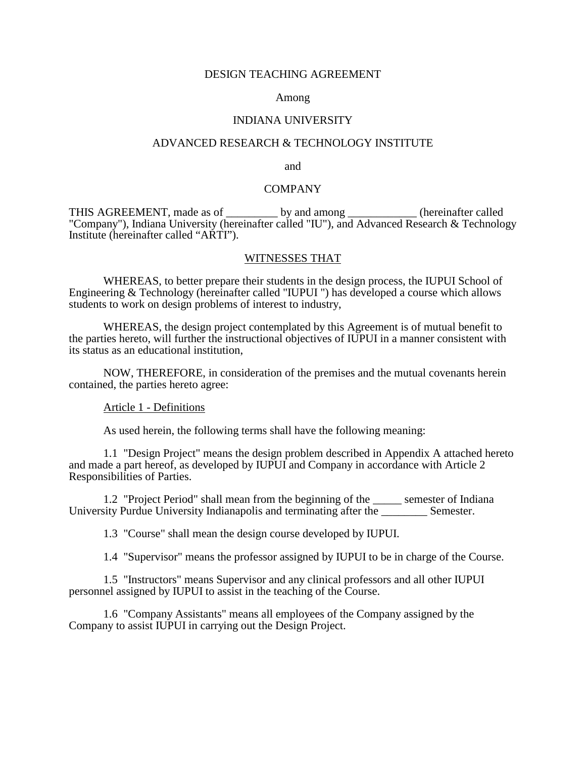#### DESIGN TEACHING AGREEMENT

#### Among

# INDIANA UNIVERSITY<br>ADVANCED RESEARCH & TECHNOLOGY INSTITUTE

and

#### **COMPANY**

THIS AGREEMENT, made as of \_\_\_\_\_\_\_\_\_ by and among \_\_\_\_\_\_\_\_\_\_\_\_ (hereinafter called "Company"), Indiana University (hereinafter called "IU"), and Advanced Research & Technology Institute (hereinafter called "ARTI").

#### WITNESSES THAT

 WHEREAS, to better prepare their students in the design process, the IUPUI School of Engineering & Technology (hereinafter called "IUPUI ") has developed a course which allows students to work on design problems of interest to industry,

 WHEREAS, the design project contemplated by this Agreement is of mutual benefit to the parties hereto, will further the instructional objectives of IUPUI in a manner consistent with its status as an educational institution,

 NOW, THEREFORE, in consideration of the premises and the mutual covenants herein contained, the parties hereto agree:

#### Article 1 - Definitions

As used herein, the following terms shall have the following meaning:

 1.1 "Design Project" means the design problem described in Appendix A attached hereto and made a part hereof, as developed by IUPUI and Company in accordance with Article 2 Responsibilities of Parties.

 1.2 "Project Period" shall mean from the beginning of the \_\_\_\_\_ semester of Indiana University Purdue University Indianapolis and terminating after the \_\_\_\_\_\_\_\_ Semester.

1.3 "Course" shall mean the design course developed by IUPUI.

1.4 "Supervisor" means the professor assigned by IUPUI to be in charge of the Course.

 1.5 "Instructors" means Supervisor and any clinical professors and all other IUPUI personnel assigned by IUPUI to assist in the teaching of the Course.

 1.6 "Company Assistants" means all employees of the Company assigned by the Company to assist IUPUI in carrying out the Design Project.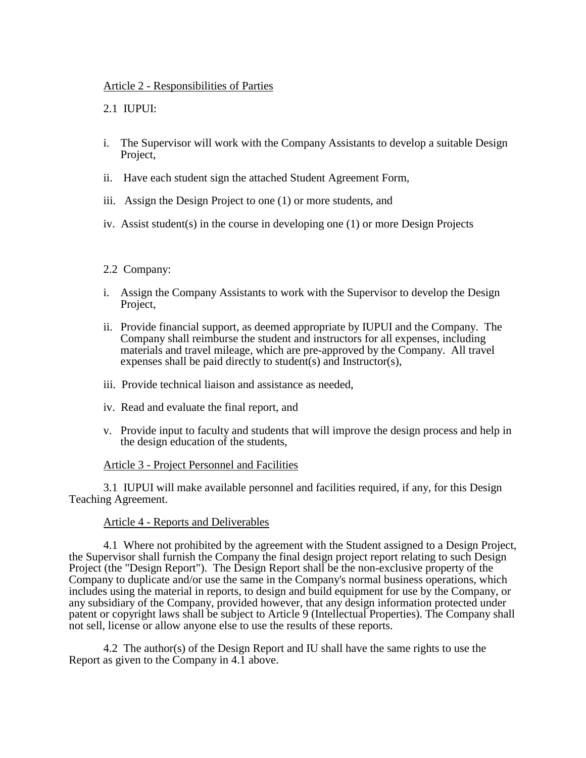#### Article 2 - Responsibilities of Parties

#### 2.1 IUPUI:

- i. The Supervisor will work with the Company Assistants to develop a suitable Design Project,
- ii. Have each student sign the attached Student Agreement Form,
- iii. Assign the Design Project to one (1) or more students, and
- iv. Assist student(s) in the course in developing one (1) or more Design Projects

#### 2.2 Company:

- i. Assign the Company Assistants to work with the Supervisor to develop the Design Project,
- ii. Provide financial support, as deemed appropriate by IUPUI and the Company. The Company shall reimburse the student and instructors for all expenses, including materials and travel mileage, which are pre-approved by the Company. All travel expenses shall be paid directly to student(s) and Instructor(s),
- iii. Provide technical liaison and assistance as needed,
- iv. Read and evaluate the final report, and
- v. Provide input to faculty and students that will improve the design process and help in the design education of the students,

#### Article 3 - Project Personnel and Facilities

 3.1 IUPUI will make available personnel and facilities required, if any, for this Design Teaching Agreement.

#### Article 4 - Reports and Deliverables

 4.1 Where not prohibited by the agreement with the Student assigned to a Design Project, the Supervisor shall furnish the Company the final design project report relating to such Design Project (the "Design Report"). The Design Report shall be the non-exclusive property of the Company to duplicate and/or use the same in the Company's normal business operations, which includes using the material in reports, to design and build equipment for use by the Company, or any subsidiary of the Company, provided however, that any design information protected under patent or copyright laws shall be subject to Article 9 (Intellectual Properties). The Company shall not sell, license or allow anyone else to use the results of these reports.

 4.2 The author(s) of the Design Report and IU shall have the same rights to use the Report as given to the Company in 4.1 above.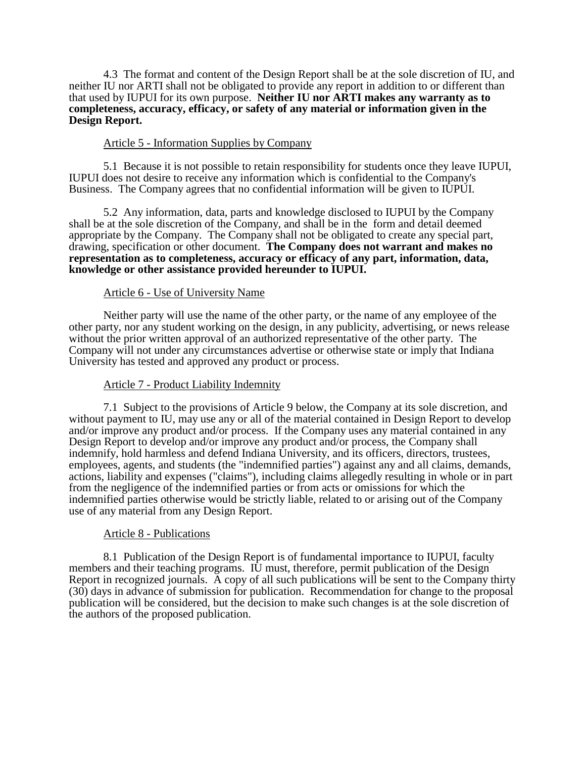4.3 The format and content of the Design Report shall be at the sole discretion of IU, and neither IU nor ARTI shall not be obligated to provide any report in addition to or different than that used by IUPUI for its own purpose. **Neither IU nor ARTI makes any warranty as to completeness, accuracy, efficacy, or safety of any material or information given in the Design Report.** 

#### Article 5 - Information Supplies by Company

 5.1 Because it is not possible to retain responsibility for students once they leave IUPUI, IUPUI does not desire to receive any information which is confidential to the Company's Business. The Company agrees that no confidential information will be given to IUPUI.

 5.2 Any information, data, parts and knowledge disclosed to IUPUI by the Company shall be at the sole discretion of the Company, and shall be in the form and detail deemed appropriate by the Company. The Company shall not be obligated to create any special part, drawing, specification or other document. **The Company does not warrant and makes no representation as to completeness, accuracy or efficacy of any part, information, data, knowledge or other assistance provided hereunder to IUPUI.** 

#### Article 6 - Use of University Name

 Neither party will use the name of the other party, or the name of any employee of the other party, nor any student working on the design, in any publicity, advertising, or news release without the prior written approval of an authorized representative of the other party. The Company will not under any circumstances advertise or otherwise state or imply that Indiana University has tested and approved any product or process.

#### Article 7 - Product Liability Indemnity

 7.1 Subject to the provisions of Article 9 below, the Company at its sole discretion, and without payment to IU, may use any or all of the material contained in Design Report to develop and/or improve any product and/or process. If the Company uses any material contained in any Design Report to develop and/or improve any product and/or process, the Company shall indemnify, hold harmless and defend Indiana University, and its officers, directors, trustees, employees, agents, and students (the "indemnified parties") against any and all claims, demands, actions, liability and expenses ("claims"), including claims allegedly resulting in whole or in part from the negligence of the indemnified parties or from acts or omissions for which the indemnified parties otherwise would be strictly liable, related to or arising out of the Company use of any material from any Design Report.

#### Article 8 - Publications

 8.1 Publication of the Design Report is of fundamental importance to IUPUI, faculty members and their teaching programs. IU must, therefore, permit publication of the Design Report in recognized journals. A copy of all such publications will be sent to the Company thirty (30) days in advance of submission for publication. Recommendation for change to the proposal publication will be considered, but the decision to make such changes is at the sole discretion of the authors of the proposed publication.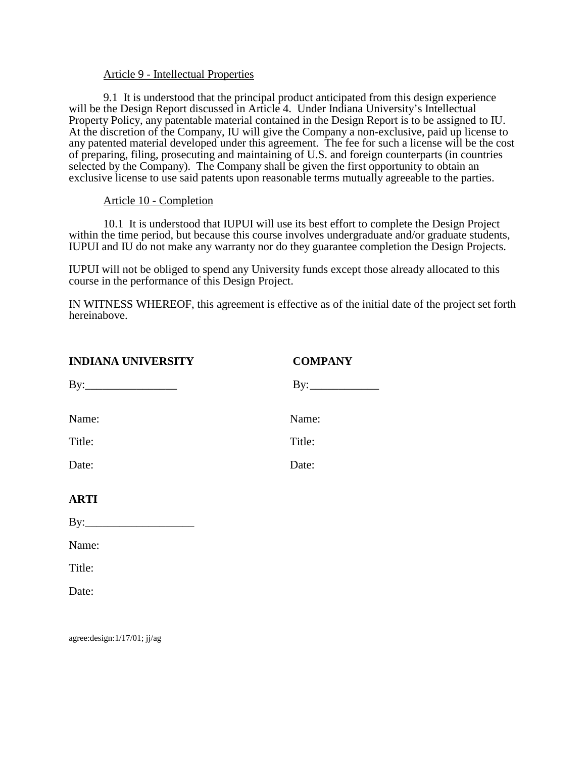#### Article 9 - Intellectual Properties

 9.1 It is understood that the principal product anticipated from this design experience will be the Design Report discussed in Article 4. Under Indiana University's Intellectual Property Policy, any patentable material contained in the Design Report is to be assigned to IU. At the discretion of the Company, IU will give the Company a non-exclusive, paid up license to any patented material developed under this agreement. The fee for such a license will be the cost of preparing, filing, prosecuting and maintaining of U.S. and foreign counterparts (in countries selected by the Company). The Company shall be given the first opportunity to obtain an exclusive license to use said patents upon reasonable terms mutually agreeable to the parties.

#### Article 10 - Completion

 10.1 It is understood that IUPUI will use its best effort to complete the Design Project within the time period, but because this course involves undergraduate and/or graduate students, IUPUI and IU do not make any warranty nor do they guarantee completion the Design Projects.

IUPUI will not be obliged to spend any University funds except those already allocated to this course in the performance of this Design Project.

IN WITNESS WHEREOF, this agreement is effective as of the initial date of the project set forth hereinabove.

| <b>INDIANA UNIVERSITY</b>      | <b>COMPANY</b> |
|--------------------------------|----------------|
| $\mathbf{By:}\_\_\_\_\_\_\_\_$ | By:            |
|                                |                |
| Name:                          | Name:          |
| Title:                         | Title:         |
| Date:                          | Date:          |
|                                |                |
| <b>ARTI</b>                    |                |
|                                |                |
| Name:                          |                |
| Title:                         |                |
| Date:                          |                |
|                                |                |

agree:design:1/17/01; jj/ag